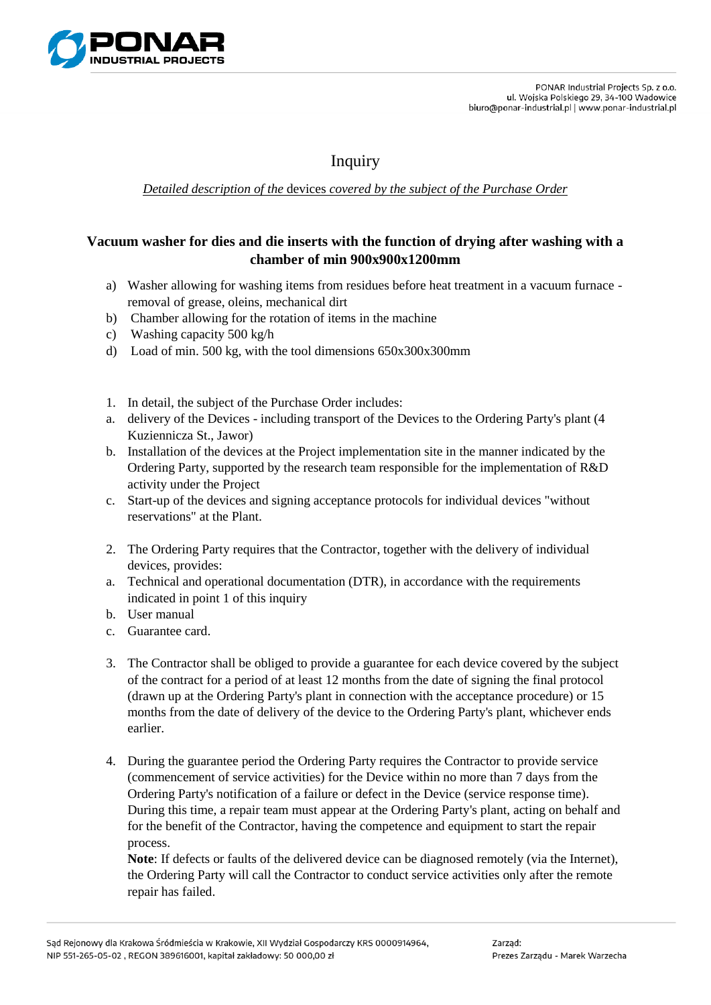

## Inquiry

*Detailed description of the* devices *covered by the subject of the Purchase Order*

## **Vacuum washer for dies and die inserts with the function of drying after washing with a chamber of min 900x900x1200mm**

- a) Washer allowing for washing items from residues before heat treatment in a vacuum furnace removal of grease, oleins, mechanical dirt
- b) Chamber allowing for the rotation of items in the machine
- c) Washing capacity 500 kg/h
- d) Load of min. 500 kg, with the tool dimensions 650x300x300mm
- 1. In detail, the subject of the Purchase Order includes:
- a. delivery of the Devices including transport of the Devices to the Ordering Party's plant (4 Kuziennicza St., Jawor)
- b. Installation of the devices at the Project implementation site in the manner indicated by the Ordering Party, supported by the research team responsible for the implementation of R&D activity under the Project
- c. Start-up of the devices and signing acceptance protocols for individual devices "without reservations" at the Plant.
- 2. The Ordering Party requires that the Contractor, together with the delivery of individual devices, provides:
- a. Technical and operational documentation (DTR), in accordance with the requirements indicated in point 1 of this inquiry
- b. User manual
- c. Guarantee card.
- 3. The Contractor shall be obliged to provide a guarantee for each device covered by the subject of the contract for a period of at least 12 months from the date of signing the final protocol (drawn up at the Ordering Party's plant in connection with the acceptance procedure) or 15 months from the date of delivery of the device to the Ordering Party's plant, whichever ends earlier.
- 4. During the guarantee period the Ordering Party requires the Contractor to provide service (commencement of service activities) for the Device within no more than 7 days from the Ordering Party's notification of a failure or defect in the Device (service response time). During this time, a repair team must appear at the Ordering Party's plant, acting on behalf and for the benefit of the Contractor, having the competence and equipment to start the repair process.

**Note**: If defects or faults of the delivered device can be diagnosed remotely (via the Internet), the Ordering Party will call the Contractor to conduct service activities only after the remote repair has failed.